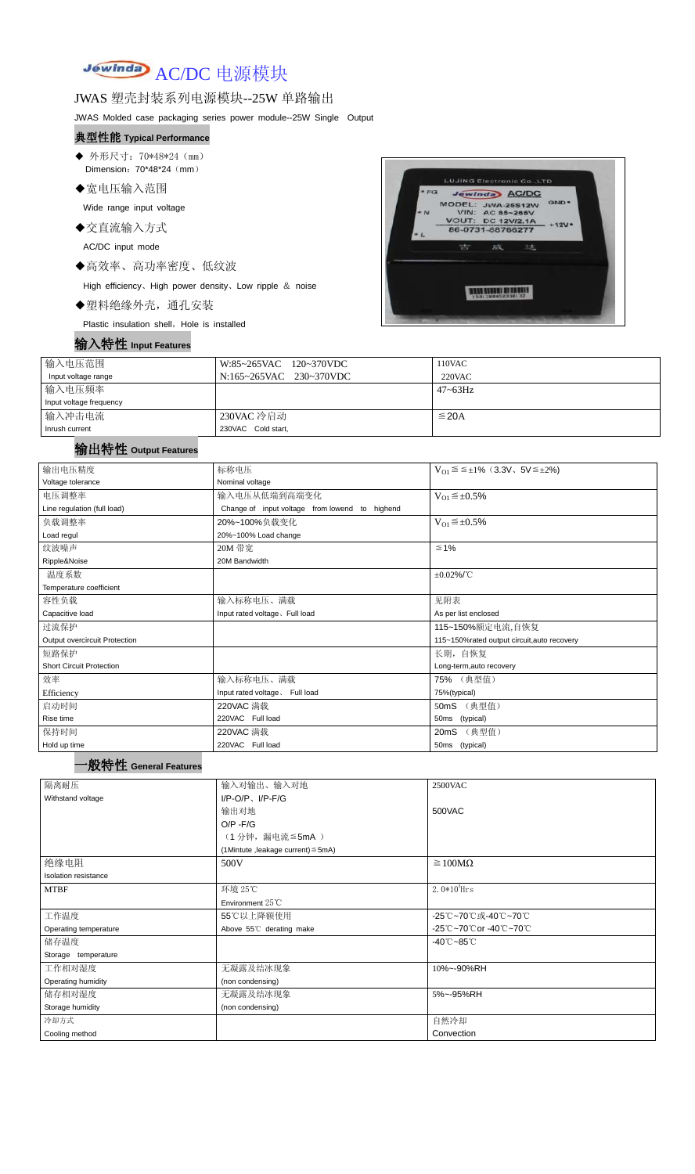Jewinda AC/DC 电源模块

### JWAS 塑壳封装系列电源模块--25W 单路输出

JWAS Molded case packaging series power module--25W Single Output

- ◆ 外形尺寸: 70\*48\*24 (mm) Dimension: 70\*48\*24 (mm)
- ◆宽电压输入范围

#### 典型性能 **Typical Performance**

Wide range input voltage

- ◆交直流输入方式
	- AC/DC input mode
- ◆高效率、高功率密度、低纹波

High efficiency、High power density、Low ripple & noise

◆塑料绝缘外壳,通孔安装

Plastic insulation shell, Hole is installed

### 输入特性 **Input Features**



| 输入电压范围                  | W:85~265VAC 120~370VDC  | $110$ VAC       |
|-------------------------|-------------------------|-----------------|
| Input voltage range     | N:165~265VAC 230~370VDC | $220$ VAC       |
| 输入电压频率                  |                         | $47 \sim 63$ Hz |
| Input voltage frequency |                         |                 |
| 输入冲击电流                  | 230VAC 冷启动              | $\leq$ 20A      |
| Inrush current          | 230VAC Cold start,      |                 |

# 输出特性 **Output Features**

## 一般特性 **General Features**

| 输出电压精度                          | 标称电压                                           | $V_{01} \le \le \pm 1\%$ (3.3V, 5V $\le \pm 2\%$ ) |  |  |
|---------------------------------|------------------------------------------------|----------------------------------------------------|--|--|
| Voltage tolerance               | Nominal voltage                                |                                                    |  |  |
| 电压调整率                           | 输入电压从低端到高端变化                                   | $V_{O1} \leq \pm 0.5\%$                            |  |  |
| Line regulation (full load)     | Change of input voltage from lowend to highend |                                                    |  |  |
| 负载调整率                           | 20%~100%负载变化                                   | $V_{O1} \leq \pm 0.5\%$                            |  |  |
| Load regul                      | 20%~100% Load change                           |                                                    |  |  |
| 纹波噪声                            | 20M 带宽                                         | $≤ 1%$                                             |  |  |
| Ripple&Noise                    | 20M Bandwidth                                  |                                                    |  |  |
| 温度系数                            |                                                | $\pm 0.02\%$ /°C                                   |  |  |
| Temperature coefficient         |                                                |                                                    |  |  |
| 容性负载                            | 输入标称电压、满载                                      | 见附表                                                |  |  |
| Capacitive load                 | Input rated voltage. Full load                 | As per list enclosed                               |  |  |
| 过流保护                            | 115~150%额定电流,自恢复                               |                                                    |  |  |
| Output overcircuit Protection   |                                                | 115~150%rated output circuit, auto recovery        |  |  |
| 短路保护                            |                                                | 长期, 自恢复                                            |  |  |
| <b>Short Circuit Protection</b> |                                                | Long-term, auto recovery                           |  |  |
| 效率                              | 输入标称电压、满载                                      | 75% (典型值)                                          |  |  |
| Efficiency                      | Input rated voltage. Full load                 | 75%(typical)                                       |  |  |
| 启动时间                            | 220VAC 满载                                      | 50mS (典型值)                                         |  |  |
| Rise time                       | 220VAC Full load                               | 50ms (typical)                                     |  |  |
| 保持时间                            | 220VAC 满载                                      | 20mS (典型值)                                         |  |  |
| Hold up time                    | 220VAC Full load                               | 50ms (typical)                                     |  |  |

| 隔离耐压                  | 输入对输出、输入对地                              | 2500VAC                         |  |  |
|-----------------------|-----------------------------------------|---------------------------------|--|--|
| Withstand voltage     | $I/P-O/P$ , $I/P-F/G$                   |                                 |  |  |
|                       | 输出对地                                    | 500VAC                          |  |  |
|                       | $O/P - F/G$                             |                                 |  |  |
|                       | (1分钟,漏电流 ≦5mA)                          |                                 |  |  |
|                       | (1Mintute, leakage current) $\leq$ 5mA) |                                 |  |  |
| 绝缘电阻                  | 500V                                    | $\geq 100M\Omega$               |  |  |
| Isolation resistance  |                                         |                                 |  |  |
| <b>MTBF</b>           | 环境 25℃                                  | $2.0*105$ Hrs                   |  |  |
|                       | Environment $25^{\circ}$ C              |                                 |  |  |
| 工作温度                  | 55℃以上降额使用                               | -25℃~70℃或-40℃~70℃               |  |  |
| Operating temperature | Above 55°C derating make                | -25℃~70℃or -40℃~70℃             |  |  |
| 储存温度                  |                                         | $-40^{\circ}$ C $-85^{\circ}$ C |  |  |
| Storage temperature   |                                         |                                 |  |  |
| 工作相对湿度                | 无凝露及结冰现象                                | 10%~-90%RH                      |  |  |
| Operating humidity    | (non condensing)                        |                                 |  |  |
| 储存相对湿度                | 无凝露及结冰现象                                | 5%~-95%RH                       |  |  |
| Storage humidity      | (non condensing)                        |                                 |  |  |
| 冷却方式                  |                                         | 自然冷却                            |  |  |
| Cooling method        |                                         | Convection                      |  |  |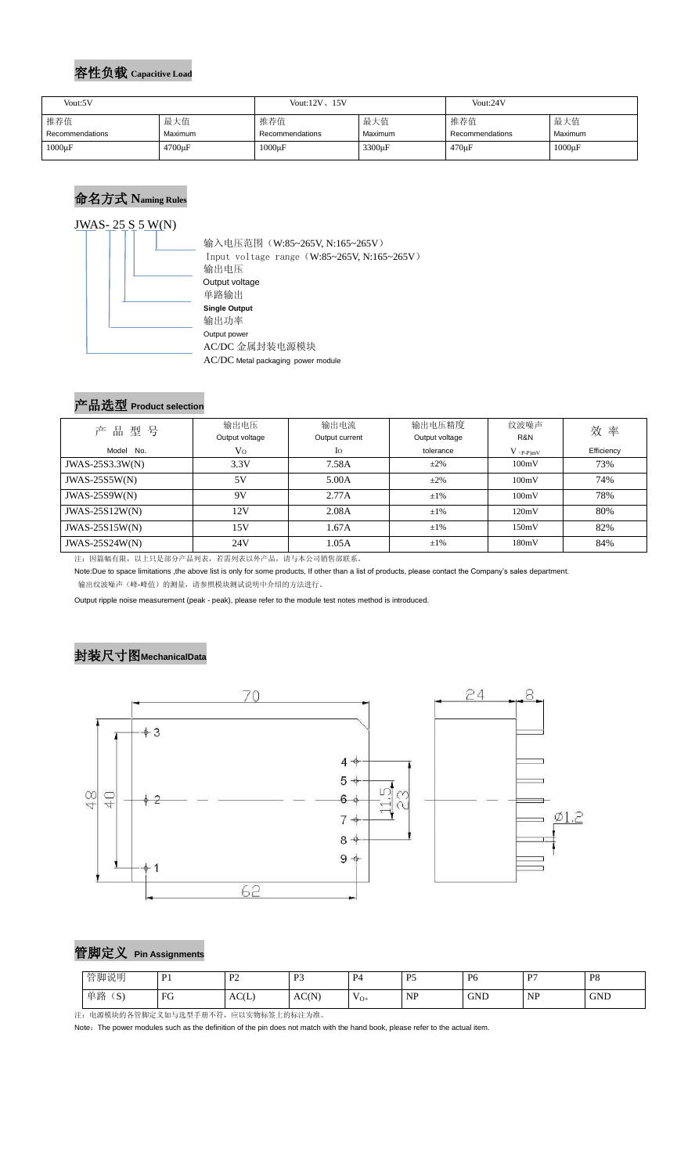#### 容性负载 **Capacitive Load**

## 命名方式 **Naming Rules**



 输入电压范围(W:85~265V, N:165~265V) Input voltage range(W:85~265V, N:165~265V) 输出电压 Output voltage 单路输出 **Single Output** 输出功率 Output power AC/DC 金属封装电源模块 AC/DC Metal packaging power module

#### 产品选型 **Product selection**

| 产品型号                  | 输出电压           | 输出电流           | 输出电压精度         | 纹波噪声        | 效率         |  |
|-----------------------|----------------|----------------|----------------|-------------|------------|--|
|                       | Output voltage | Output current | Output voltage | R&N         |            |  |
| Model No.             | V <sub>O</sub> | $I_{\rm O}$    | tolerance      | $V$ (p-p)mV | Efficiency |  |
| JWAS-25S3.3W(N)       | 3.3V           | 7.58A          | $\pm 2\%$      | 100mV       | 73%        |  |
| $JWAS-25S5W(N)$       | 5V             | 5.00A          | $\pm 2\%$      | 100mV       | 74%        |  |
| $JWAS-25S9W(N)$       | 9V             | 2.77A          | $\pm 1\%$      | 100mV       | 78%        |  |
| JWAS-25S12W(N)        | 12V            | 2.08A          | $\pm 1\%$      | 120mV       | 80%        |  |
| $JWAS-25S15W(N)$      | 15V            | 1.67A          | $\pm 1\%$      | 150mV       | 82%        |  |
| <b>JWAS-25S24W(N)</b> | 24V            | 1.05A          | $\pm 1\%$      | 180mV       | 84%        |  |

注:因篇幅有限,以上只是部分产品列表,若需列表以外产品,请与本公司销售部联系。

Note:Due to space limitations ,the above list is only for some products, If other than a list of products, please contact the Company's sales department. 输出纹波噪声(峰-峰值)的测量,请参照模块测试说明中介绍的方法进行。

Output ripple noise measurement (peak - peak), please refer to the module test notes method is introduced.

## 封装尺寸图**MechanicalData**





| 管脚定义 Pin Assignments |
|----------------------|
|                      |

注:电源模块的各管脚定义如与选型手册不符,应以实物标签上的标注为准。

Note: The power modules such as the definition of the pin does not match with the hand book, please refer to the actual item.

| Vout:5V         |                     | Vout: $12V$ , $15V$ |                    | Vout:24V        |             |
|-----------------|---------------------|---------------------|--------------------|-----------------|-------------|
| 推荐值             | 最大值                 | 推荐值                 | 最大值                | 推荐值             | 最大值         |
| Recommendations | Maximum             | Recommendations     | <b>Maximum</b>     | Recommendations | Maximum     |
| $1000\mu F$     | 4700 <sub>u</sub> F | $1000\mu F$         | 3300 <sub>µF</sub> | $470 \mu F$     | $1000\mu F$ |

| 管脚说明                         | $\mathbf{D}$ 1<br>. . | $\mathbf{D}$ | D <sub>2</sub><br>ຼ | P <sub>4</sub><br>. . | D5<br>. J                                         | P <sub>6</sub> | D7                                           | P <sub>8</sub> |
|------------------------------|-----------------------|--------------|---------------------|-----------------------|---------------------------------------------------|----------------|----------------------------------------------|----------------|
| 单路<br>$\sim$<br>$\mathbf{D}$ | FG                    | AC(L)        | AC(N)               | $V_{O+}$              | <b>ND</b><br>TAT<br>the control of the control of | <b>GND</b>     | <b>NP</b><br>the contract of the contract of | <b>GND</b>     |